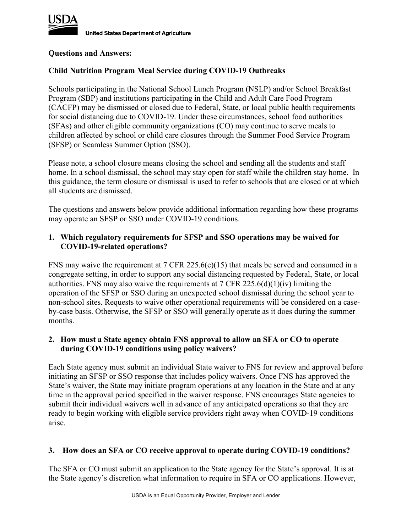

**United States Department of Agriculture** 

### **Questions and Answers:**

# **Child Nutrition Program Meal Service during COVID-19 Outbreaks**

Schools participating in the National School Lunch Program (NSLP) and/or School Breakfast Program (SBP) and institutions participating in the Child and Adult Care Food Program (CACFP) may be dismissed or closed due to Federal, State, or local public health requirements for social distancing due to COVID-19. Under these circumstances, school food authorities (SFAs) and other eligible community organizations (CO) may continue to serve meals to children affected by school or child care closures through the Summer Food Service Program (SFSP) or Seamless Summer Option (SSO).

Please note, a school closure means closing the school and sending all the students and staff home. In a school dismissal, the school may stay open for staff while the children stay home. In this guidance, the term closure or dismissal is used to refer to schools that are closed or at which all students are dismissed.

The questions and answers below provide additional information regarding how these programs may operate an SFSP or SSO under COVID-19 conditions.

# **1. Which regulatory requirements for SFSP and SSO operations may be waived for COVID-19-related operations?**

FNS may waive the requirement at 7 CFR 225.6(e)(15) that meals be served and consumed in a congregate setting, in order to support any social distancing requested by Federal, State, or local authorities. FNS may also waive the requirements at 7 CFR 225.6(d)(1)(iv) limiting the operation of the SFSP or SSO during an unexpected school dismissal during the school year to non-school sites. Requests to waive other operational requirements will be considered on a caseby-case basis. Otherwise, the SFSP or SSO will generally operate as it does during the summer months.

### **2. How must a State agency obtain FNS approval to allow an SFA or CO to operate during COVID-19 conditions using policy waivers?**

Each State agency must submit an individual State waiver to FNS for review and approval before initiating an SFSP or SSO response that includes policy waivers. Once FNS has approved the State's waiver, the State may initiate program operations at any location in the State and at any time in the approval period specified in the waiver response. FNS encourages State agencies to submit their individual waivers well in advance of any anticipated operations so that they are ready to begin working with eligible service providers right away when COVID-19 conditions arise.

# **3. How does an SFA or CO receive approval to operate during COVID-19 conditions?**

The SFA or CO must submit an application to the State agency for the State's approval. It is at the State agency's discretion what information to require in SFA or CO applications. However,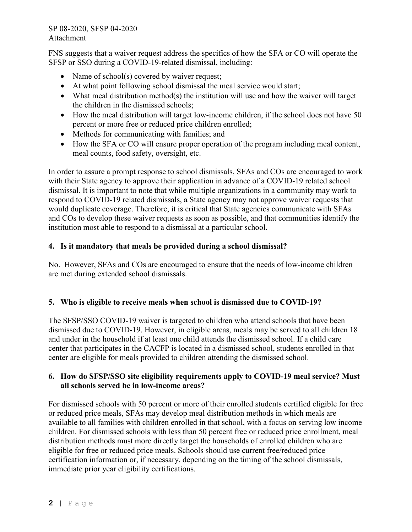FNS suggests that a waiver request address the specifics of how the SFA or CO will operate the SFSP or SSO during a COVID-19-related dismissal, including:

- Name of school(s) covered by waiver request;
- At what point following school dismissal the meal service would start;
- What meal distribution method(s) the institution will use and how the waiver will target the children in the dismissed schools;
- How the meal distribution will target low-income children, if the school does not have 50 percent or more free or reduced price children enrolled;
- Methods for communicating with families; and
- How the SFA or CO will ensure proper operation of the program including meal content, meal counts, food safety, oversight, etc.

In order to assure a prompt response to school dismissals, SFAs and COs are encouraged to work with their State agency to approve their application in advance of a COVID-19 related school dismissal. It is important to note that while multiple organizations in a community may work to respond to COVID-19 related dismissals, a State agency may not approve waiver requests that would duplicate coverage. Therefore, it is critical that State agencies communicate with SFAs and COs to develop these waiver requests as soon as possible, and that communities identify the institution most able to respond to a dismissal at a particular school.

# **4. Is it mandatory that meals be provided during a school dismissal?**

No. However, SFAs and COs are encouraged to ensure that the needs of low-income children are met during extended school dismissals.

# **5. Who is eligible to receive meals when school is dismissed due to COVID-19?**

The SFSP/SSO COVID-19 waiver is targeted to children who attend schools that have been dismissed due to COVID-19. However, in eligible areas, meals may be served to all children 18 and under in the household if at least one child attends the dismissed school. If a child care center that participates in the CACFP is located in a dismissed school, students enrolled in that center are eligible for meals provided to children attending the dismissed school.

# **6. How do SFSP/SSO site eligibility requirements apply to COVID-19 meal service? Must all schools served be in low-income areas?**

For dismissed schools with 50 percent or more of their enrolled students certified eligible for free or reduced price meals, SFAs may develop meal distribution methods in which meals are available to all families with children enrolled in that school, with a focus on serving low income children. For dismissed schools with less than 50 percent free or reduced price enrollment, meal distribution methods must more directly target the households of enrolled children who are eligible for free or reduced price meals. Schools should use current free/reduced price certification information or, if necessary, depending on the timing of the school dismissals, immediate prior year eligibility certifications.